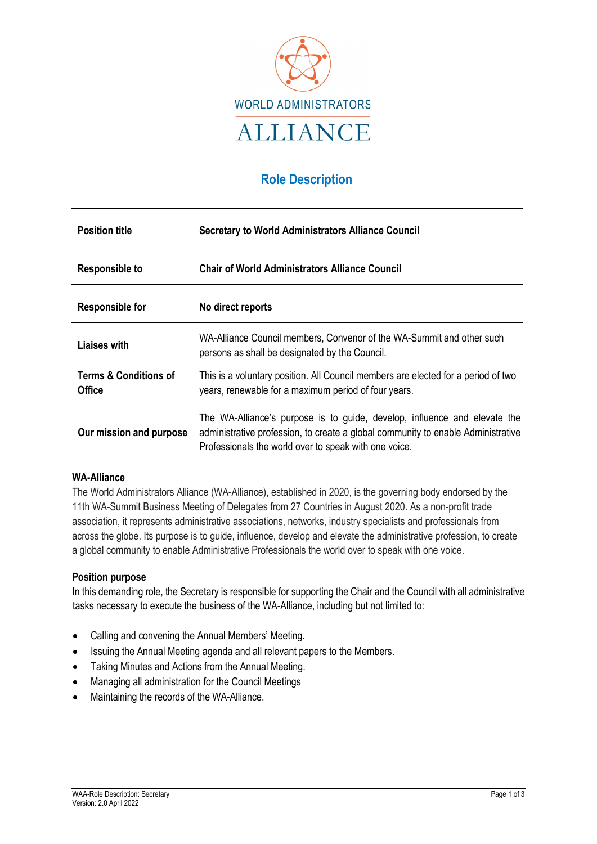

# **Role Description**

| <b>Position title</b>                             | <b>Secretary to World Administrators Alliance Council</b>                                                                                                                                                              |
|---------------------------------------------------|------------------------------------------------------------------------------------------------------------------------------------------------------------------------------------------------------------------------|
| <b>Responsible to</b>                             | <b>Chair of World Administrators Alliance Council</b>                                                                                                                                                                  |
| <b>Responsible for</b>                            | No direct reports                                                                                                                                                                                                      |
| Liaises with                                      | WA-Alliance Council members, Convenor of the WA-Summit and other such<br>persons as shall be designated by the Council.                                                                                                |
| <b>Terms &amp; Conditions of</b><br><b>Office</b> | This is a voluntary position. All Council members are elected for a period of two<br>years, renewable for a maximum period of four years.                                                                              |
| Our mission and purpose                           | The WA-Alliance's purpose is to guide, develop, influence and elevate the<br>administrative profession, to create a global community to enable Administrative<br>Professionals the world over to speak with one voice. |

# **WA-Alliance**

The World Administrators Alliance (WA-Alliance), established in 2020, is the governing body endorsed by the 11th WA-Summit Business Meeting of Delegates from 27 Countries in August 2020. As a non-profit trade association, it represents administrative associations, networks, industry specialists and professionals from across the globe. Its purpose is to guide, influence, develop and elevate the administrative profession, to create a global community to enable Administrative Professionals the world over to speak with one voice.

## **Position purpose**

In this demanding role, the Secretary is responsible for supporting the Chair and the Council with all administrative tasks necessary to execute the business of the WA-Alliance, including but not limited to:

- Calling and convening the Annual Members' Meeting.
- Issuing the Annual Meeting agenda and all relevant papers to the Members.
- Taking Minutes and Actions from the Annual Meeting.
- Managing all administration for the Council Meetings
- Maintaining the records of the WA-Alliance.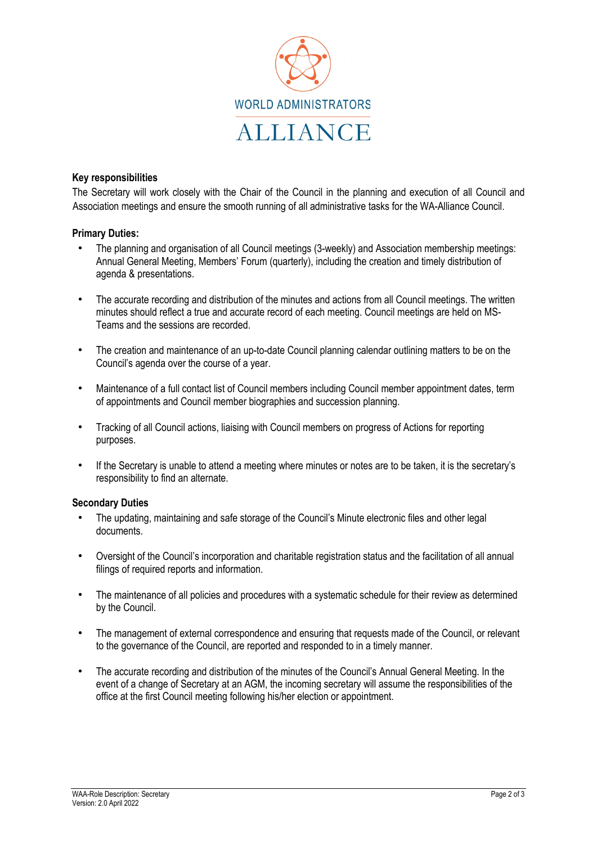

### **Key responsibilities**

The Secretary will work closely with the Chair of the Council in the planning and execution of all Council and Association meetings and ensure the smooth running of all administrative tasks for the WA-Alliance Council.

#### **Primary Duties:**

- The planning and organisation of all Council meetings (3-weekly) and Association membership meetings: Annual General Meeting, Members' Forum (quarterly), including the creation and timely distribution of agenda & presentations.
- The accurate recording and distribution of the minutes and actions from all Council meetings. The written minutes should reflect a true and accurate record of each meeting. Council meetings are held on MS-Teams and the sessions are recorded.
- The creation and maintenance of an up-to-date Council planning calendar outlining matters to be on the Council's agenda over the course of a year.
- Maintenance of a full contact list of Council members including Council member appointment dates, term of appointments and Council member biographies and succession planning.
- Tracking of all Council actions, liaising with Council members on progress of Actions for reporting purposes.
- If the Secretary is unable to attend a meeting where minutes or notes are to be taken, it is the secretary's responsibility to find an alternate.

#### **Secondary Duties**

- The updating, maintaining and safe storage of the Council's Minute electronic files and other legal documents.
- Oversight of the Council's incorporation and charitable registration status and the facilitation of all annual filings of required reports and information.
- The maintenance of all policies and procedures with a systematic schedule for their review as determined by the Council.
- The management of external correspondence and ensuring that requests made of the Council, or relevant to the governance of the Council, are reported and responded to in a timely manner.
- The accurate recording and distribution of the minutes of the Council's Annual General Meeting. In the event of a change of Secretary at an AGM, the incoming secretary will assume the responsibilities of the office at the first Council meeting following his/her election or appointment.